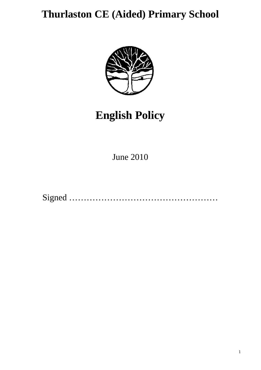**Thurlaston CE (Aided) Primary School** 



# **English Policy**

June 2010

Signed ……………………………………………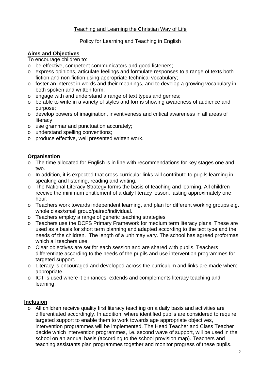# Teaching and Learning the Christian Way of Life

# Policy for Learning and Teaching in English

# **Aims and Objectives**

To encourage children to:

- o be effective, competent communicators and good listeners;
- o express opinions, articulate feelings and formulate responses to a range of texts both fiction and non-fiction using appropriate technical vocabulary;
- o foster an interest in words and their meanings, and to develop a growing vocabulary in both spoken and written form;
- o engage with and understand a range of text types and genres;
- o be able to write in a variety of styles and forms showing awareness of audience and purpose;
- o develop powers of imagination, inventiveness and critical awareness in all areas of literacy;
- o use grammar and punctuation accurately;
- o understand spelling conventions;
- o produce effective, well presented written work.

# **Organisation**

- $\circ$  The time allocated for English is in line with recommendations for key stages one and two.
- o In addition, it is expected that cross-curricular links will contribute to pupils learning in speaking and listening, reading and writing.
- o The National Literacy Strategy forms the basis of teaching and learning. All children receive the minimum entitlement of a daily literacy lesson, lasting approximately one hour.
- o Teachers work towards independent learning, and plan for different working groups e.g. whole class/small group/paired/individual.
- o Teachers employ a range of generic teaching strategies
- o Teachers use the DCFS Primary Framework for medium term literacy plans. These are used as a basis for short term planning and adapted according to the text type and the needs of the children. The length of a unit may vary. The school has agreed proformas which all teachers use.
- o Clear objectives are set for each session and are shared with pupils. Teachers differentiate according to the needs of the pupils and use intervention programmes for targeted support.
- o Literacy is encouraged and developed across the curriculum and links are made where appropriate.
- o ICT is used where it enhances, extends and complements literacy teaching and learning.

# **Inclusion**

o All children receive quality first literacy teaching on a daily basis and activities are differentiated accordingly. In addition, where identified pupils are considered to require targeted support to enable them to work towards age appropriate objectives, intervention programmes will be implemented. The Head Teacher and Class Teacher decide which intervention programmes, i.e. second wave of support, will be used in the school on an annual basis (according to the school provision map). Teachers and teaching assistants plan programmes together and monitor progress of these pupils.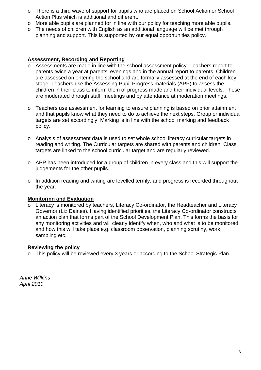- o There is a third wave of support for pupils who are placed on School Action or School Action Plus which is additional and different.
- $\circ$  More able pupils are planned for in line with our policy for teaching more able pupils.
- o The needs of children with English as an additional language will be met through planning and support. This is supported by our equal opportunities policy.

# **Assessment, Recording and Reporting**

- o Assessments are made in line with the school assessment policy. Teachers report to parents twice a year at parents' evenings and in the annual report to parents. Children are assessed on entering the school and are formally assessed at the end of each key stage. Teachers use the Assessing Pupil Progress materials (APP) to assess the children in their class to inform them of progress made and their individual levels. These are moderated through staff meetings and by attendance at moderation meetings.
- o Teachers use assessment for learning to ensure planning is based on prior attainment and that pupils know what they need to do to achieve the next steps. Group or individual targets are set accordingly. Marking is in line with the school marking and feedback policy.
- o Analysis of assessment data is used to set whole school literacy curricular targets in reading and writing. The Curricular targets are shared with parents and children. Class targets are linked to the school curricular target and are regularly reviewed.
- o APP has been introduced for a group of children in every class and this will support the judgements for the other pupils.
- o In addition reading and writing are levelled termly, and progress is recorded throughout the year.

# **Monitoring and Evaluation**

 $\overline{\circ}$  Literacy is monitored by teachers, Literacy Co-ordinator, the Headteacher and Literacy Governor (Liz Daines). Having identified priorities, the Literacy Co-ordinator constructs an action plan that forms part of the School Development Plan. This forms the basis for any monitoring activities and will clearly identify when, who and what is to be monitored and how this will take place e.g. classroom observation, planning scrutiny, work sampling etc.

# **Reviewing the policy**

o This policy will be reviewed every 3 years or according to the School Strategic Plan.

*Anne Wilkins April 2010*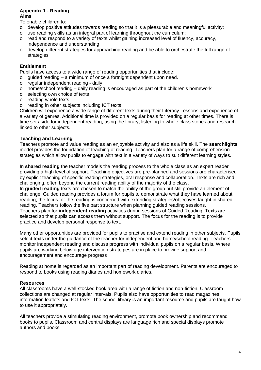## **Appendix 1 - Reading Aims**

To enable children to:

- $\circ$  develop positive attitudes towards reading so that it is a pleasurable and meaningful activity;
- $\circ$  use reading skills as an integral part of learning throughout the curriculum;
- $\circ$  read and respond to a variety of texts whilst gaining increased level of fluency, accuracy, independence and understanding
- o develop different strategies for approaching reading and be able to orchestrate the full range of strategies

## **Entitlement**

Pupils have access to a wide range of reading opportunities that include:

- $\circ$  quided reading a minimum of once a fortnight dependent upon need.
- o regular independent reading daily
- $\circ$  home/school reading daily reading is encouraged as part of the children's homework
- o selecting own choice of texts
- o reading whole texts
- o reading in other subjects including ICT texts

Children will experience a wide range of different texts during their Literacy Lessons and experience of a variety of genres. Additional time is provided on a regular basis for reading at other times. There is time set aside for independent reading, using the library, listening to whole class stories and research linked to other subjects.

## **Teaching and Learning**

Teachers promote and value reading as an enjoyable activity and also as a life skill. The **searchlights** model provides the foundation of teaching of reading. Teachers plan for a range of comprehension strategies which allow pupils to engage with text in a variety of ways to suit different learning styles.

In **shared reading** the teacher models the reading process to the whole class as an expert reader providing a high level of support. Teaching objectives are pre-planned and sessions are characterised by explicit teaching of specific reading strategies, oral response and collaboration. Texts are rich and challenging, often beyond the current reading ability of the majority of the class.

In **guided reading** texts are chosen to match the ability of the group but still provide an element of challenge. Guided reading provides a forum for pupils to demonstrate what they have learned about reading; the focus for the reading is concerned with extending strategies/objectives taught in shared reading. Teachers follow the five part structure when planning guided reading sessions. Teachers plan for **independent reading** activities during sessions of Guided Reading. Texts are

selected so that pupils can access them without support. The focus for the reading is to provide practice and develop personal response to text.

Many other opportunities are provided for pupils to practise and extend reading in other subjects. Pupils select texts under the guidance of the teacher for independent and home/school reading. Teachers monitor independent reading and discuss progress with individual pupils on a regular basis. Where pupils are working below age intervention strategies are in place to provide support and encouragement and encourage progress

Reading at home is regarded as an important part of reading development. Parents are encouraged to respond to books using reading diaries and homework diaries.

## **Resources**

All classrooms have a well-stocked book area with a range of fiction and non-fiction. Classroom collections are changed at regular intervals. Pupils also have opportunities to read magazines, information leaflets and ICT texts. The school library is an important resource and pupils are taught how to use it appropriately.

All teachers provide a stimulating reading environment, promote book ownership and recommend books to pupils. Classroom and central displays are language rich and special displays promote authors and books.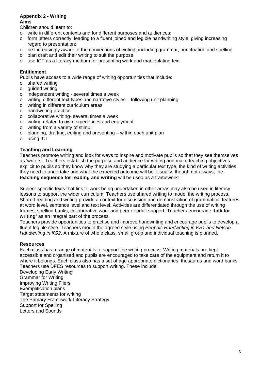## **Appendix 2 - Writing Aims**

Children should learn to:

- o write in different contexts and for different purposes and audiences;
- o form letters correctly, leading to a fluent joined and legible handwriting style, giving increasing regard to presentation;
- o be increasingly aware of the conventions of writing, including grammar, punctuation and spelling
- o plan draft and edit their writing to suit the purpose
- o use ICT as a literacy medium for presenting work and manipulating text

## **Entitlement**

Pupils have access to a wide range of writing opportunities that include:

- o shared writing
- o guided writing
- o independent writing several times a week
- o writing different text types and narrative styles following unit planning
- o writing in different curriculum areas
- o handwriting practice
- o collaborative writing- several times a week
- o writing related to own experiences and enjoyment
- o writing from a variety of stimuli
- o planning, drafting, editing and presenting within each unit plan
- o using ICT

## **Teaching and Learning**

Teachers promote writing and look for ways to inspire and motivate pupils so that they see themselves as 'writers'. Teachers establish the purpose and audience for writing and make teaching objectives explicit to pupils so they know why they are studying a particular text type, the kind of writing activities they need to undertake and what the expected outcome will be. Usually, though not always, the **teaching sequence for reading and writing** will be used as a framework:

Subject-specific texts that link to work being undertaken in other areas may also be used in literacy lessons to support the wider curriculum. Teachers use shared writing to model the writing process. Shared reading and writing provide a context for discussion and demonstration of grammatical features at word level, sentence level and text level. Activities are differentiated through the use of writing frames, spelling banks, collaborative work and peer or adult support. Teachers encourage **'talk for writing'** as an integral part of the process.

Teachers provide opportunities to practise and improve handwriting and encourage pupils to develop a fluent legible style. Teachers model the agreed style using *Penpals Handwriting in KS1 and Nelson Handwriting in KS2*. A mixture of whole class, small group and individual teaching is planned.

#### **Resources**

Each class has a range of materials to support the writing process. Writing materials are kept accessible and organised and pupils are encouraged to take care of the equipment and return it to where it belongs. Each class also has a set of age appropriate dictionaries, thesaurus and word banks. Teachers use DFES resources to support writing. These include:

Developing Early Writing Grammar for Writing Improving Writing Fliers Exemplification plans Target statements for writing The Primary Framework-Literacy Strategy Support for Spelling Letters and Sounds